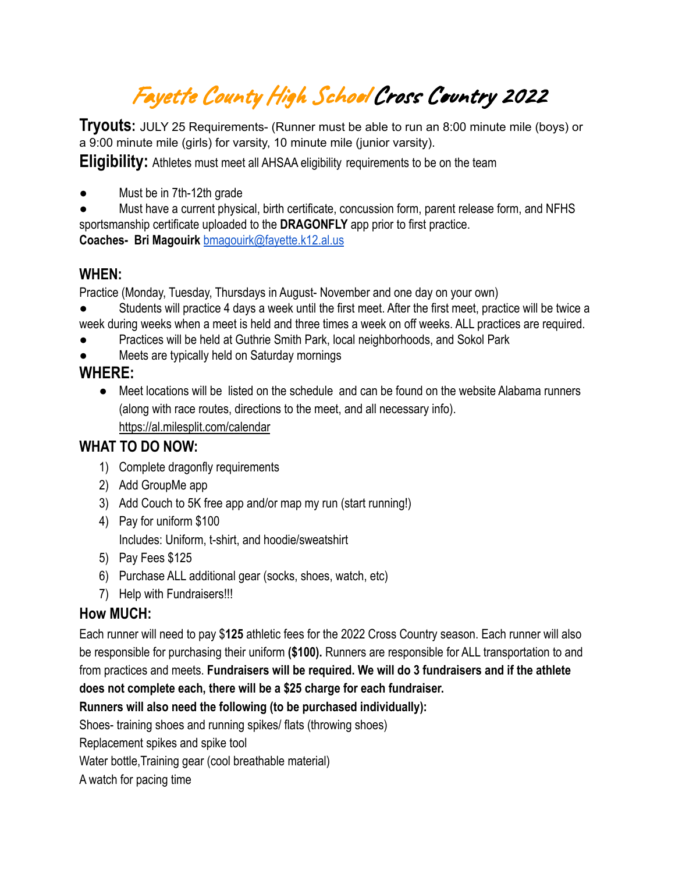## Fayette County High School Cross Country <sup>2022</sup>

**Tryouts:** JULY <sup>25</sup> Requirements- (Runner must be able to run an 8:00 minute mile (boys) or a 9:00 minute mile (girls) for varsity, 10 minute mile (junior varsity).

**Eligibility:** Athletes must meet all AHSAA eligibility requirements to be on the team

Must be in 7th-12th grade

Must have a current physical, birth certificate, concussion form, parent release form, and NFHS sportsmanship certificate uploaded to the **DRAGONFLY** app prior to first practice. **Coaches- Bri Magouirk** [bmagouirk@fayette.k12.al.us](mailto:bmagouirk@fayette.k12.al.us)

#### **WHEN:**

Practice (Monday, Tuesday, Thursdays in August- November and one day on your own)

- Students will practice 4 days a week until the first meet. After the first meet, practice will be twice a week during weeks when a meet is held and three times a week on off weeks. ALL practices are required.
- Practices will be held at Guthrie Smith Park, local neighborhoods, and Sokol Park
- Meets are typically held on Saturday mornings

### **WHERE:**

● Meet locations will be listed on the schedule and can be found on the website Alabama runners (along with race routes, directions to the meet, and all necessary info). <https://al.milesplit.com/calendar>

### **WHAT TO DO NOW:**

- 1) Complete dragonfly requirements
- 2) Add GroupMe app
- 3) Add Couch to 5K free app and/or map my run (start running!)
- 4) Pay for uniform \$100 Includes: Uniform, t-shirt, and hoodie/sweatshirt
- 5) Pay Fees \$125
- 6) Purchase ALL additional gear (socks, shoes, watch, etc)
- 7) Help with Fundraisers!!!

### **How MUCH:**

Each runner will need to pay \$**125** athletic fees for the 2022 Cross Country season. Each runner will also be responsible for purchasing their uniform **(\$100).** Runners are responsible for ALL transportation to and from practices and meets. **Fundraisers will be required. We will do 3 fundraisers and if the athlete does not complete each, there will be a \$25 charge for each fundraiser.**

**Runners will also need the following (to be purchased individually):**

Shoes- training shoes and running spikes/ flats (throwing shoes)

Replacement spikes and spike tool

Water bottle,Training gear (cool breathable material)

A watch for pacing time